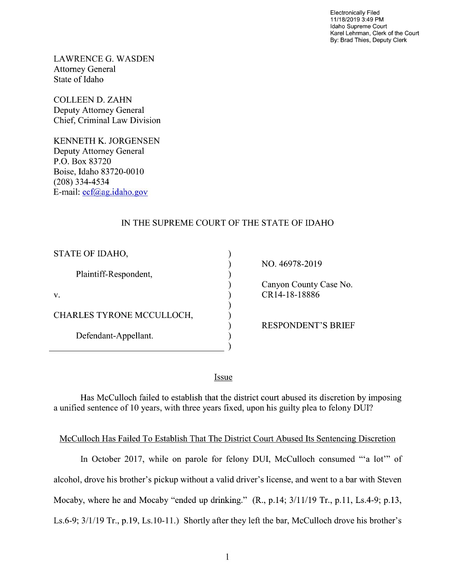Electronically Filed 11/18/2019 3:49 PM Idaho Supreme Court Karel Lehrman, Clerk of the Court By: Brad Thies, Deputy Clerk

LAWRENCE G. WASDEN Attorney General State of Idaho

COLLEEN D. ZAHN Deputy Attorney General Chief, Criminal Law Division

KENNETH K. JORGENSEN Deputy Attorney General P.O. Box 83720 Boise, Idaho 83720-0010 (208) 334—4534 E—mail: ecf@ag.idah0.gov

## IN THE SUPREME COURT OF THE STATE OF IDAHO

| STATE OF IDAHO,           |  |
|---------------------------|--|
| Plaintiff-Respondent,     |  |
| v.                        |  |
| CHARLES TYRONE MCCULLOCH, |  |
| Defendant-Appellant.      |  |
|                           |  |

NO. 46978-2019

Canyon County Case No. CR14-18-18886

RESPONDENT'S BRIEF

Issue

Has McCulloch failed to establish that the district court abused its discretion by imposing a unified sentence of 10 years, with three years fixed, upon his guilty plea to felony DUI?

## McCulloch Has Failed T0 Establish That The District Court Abused Its Sentencing Discretion

In October 2017, While on parole for felony DUI, McCulloch consumed "'a lot'" of alcohol, drove his brother's pickup without a valid driver's license, and went to a bar with Steven Mocaby, where he and Mocaby "ended up drinking."  $(R., p.14; 3/11/19 \text{ Tr.}, p.11, Ls.4-9; p.13,$ Ls.6-9; 3/1/19 Tr., p.19, Ls.10-11.) Shortly after they left the bar, McCulloch drove his brother's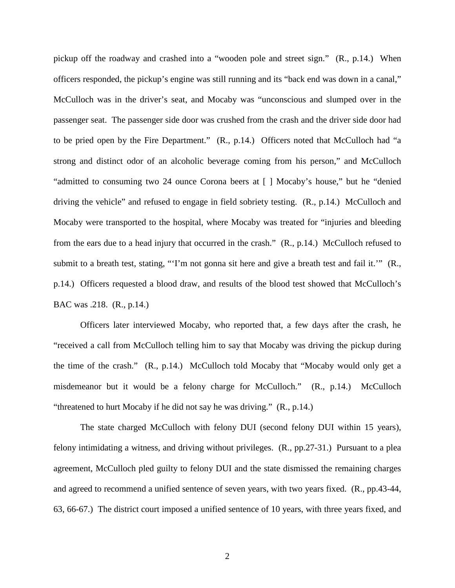pickup off the roadway and crashed into a "wooden pole and street sign." (R., p.14.) When officers responded, the pickup's engine was still running and its "back end was down in a canal," McCulloch was in the driver's seat, and Mocaby was "unconscious and slumped over in the passenger seat. The passenger side door was crushed from the crash and the driver side door had to be pried open by the Fire Department." (R., p.14.) Officers noted that McCulloch had "a strong and distinct odor of an alcoholic beverage coming from his person," and McCulloch "admitted to consuming two 24 ounce Corona beers at [ ] Mocaby's house," but he "denied driving the vehicle" and refused to engage in field sobriety testing. (R., p.14.) McCulloch and Mocaby were transported to the hospital, where Mocaby was treated for "injuries and bleeding from the ears due to a head injury that occurred in the crash." (R., p.14.) McCulloch refused to submit to a breath test, stating, "T'm not gonna sit here and give a breath test and fail it." (R., p.14.) Officers requested a blood draw, and results of the blood test showed that McCulloch's BAC was .218. (R., p.14.)

Officers later interviewed Mocaby, who reported that, a few days after the crash, he "received a call from McCulloch telling him to say that Mocaby was driving the pickup during the time of the crash." (R., p.14.) McCulloch told Mocaby that "Mocaby would only get a misdemeanor but it would be a felony charge for McCulloch." (R., p.14.) McCulloch "threatened to hurt Mocaby if he did not say he was driving." (R., p.14.)

The state charged McCulloch with felony DUI (second felony DUI within 15 years), felony intimidating a witness, and driving without privileges. (R., pp.27-31.) Pursuant to a plea agreement, McCulloch pled guilty to felony DUI and the state dismissed the remaining charges and agreed to recommend a unified sentence of seven years, with two years fixed. (R., pp.43-44, 63, 66-67.) The district court imposed a unified sentence of 10 years, with three years fixed, and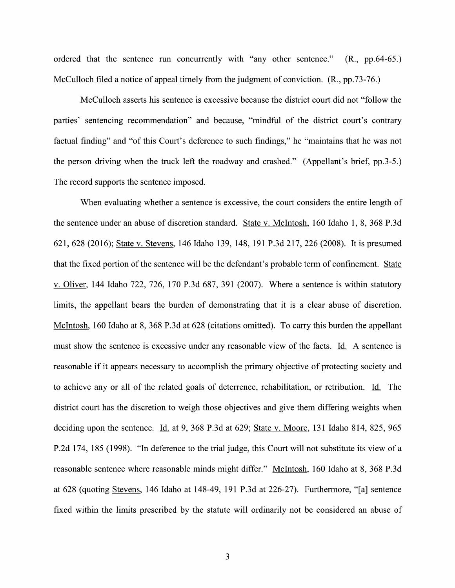ordered that the sentence run concurrently with "any other sentence." (R., pp.64-65.) McCulloch filed a notice of appeal timely from the judgment of conviction. (R., pp.73-76.)

McCulloch asserts his sentence is excessive because the district court did not "follow the parties' sentencing recommendation" and because, "mindful 0f the district court's contrary factual finding" and "of this Court's deference to such findings," he "maintains that he was not the person driving When the truck left the roadway and crashed." (Appellant's brief, pp.3-5.) The record supports the sentence imposed.

When evaluating whether a sentence is excessive, the court considers the entire length of the sentence under an abuse 0f discretion standard. State V. McIntosh, 160 Idaho 1, 8, 368 P.3d 621, 628 (2016); State V. Stevens, 146 Idaho 139, 148, 191 P.3d 217, 226 (2008). It is presumed that the fixed portion of the sentence will be the defendant's probable term of confinement. State v. Oliver, 144 Idaho 722, 726, 170 P.3d 687, 391 (2007). Where a sentence is within statutory limits, the appellant bears the burden of demonstrating that it is a clear abuse of discretion. McIntosh, 160 Idaho at 8, 368 P.3d at 628 (citations omitted). To carry this burden the appellant must show the sentence is excessive under any reasonable view of the facts. Id. A sentence is reasonable if it appears necessary to accomplish the primary objective of protecting society and to achieve any or all of the related goals of deterrence, rehabilitation, or retribution. Id. The district court has the discretion to weigh those objectives and give them differing weights when deciding upon the sentence. Id. at 9, 368 P.3d at 629; State v. Moore, 131 Idaho 814, 825, 965 P.2d 174, 185 (1998). "In deference to the trial judge, this Court will not substitute its view of a reasonable sentence where reasonable minds might differ." McIntosh, 160 Idaho at 8, 368 P.3d at 628 (quoting Stevens, 146 Idaho at 148-49, 191 P.3d at 226-27). Furthermore, "[a] sentence fixed within the limits prescribed by the statute will ordinarily not be considered an abuse of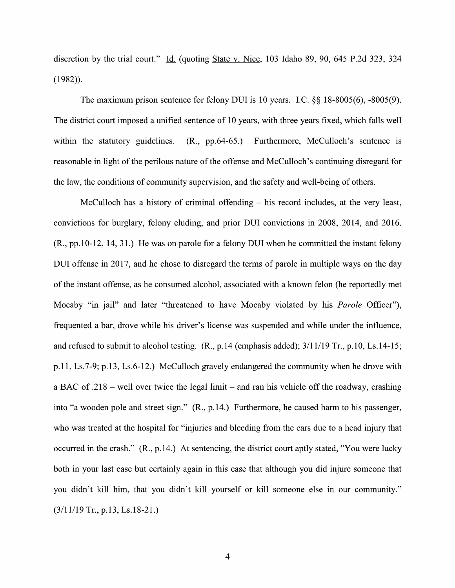discretion by the trial court." Id. (quoting State v. Nice, 103 Idaho 89, 90, 645 P.2d 323, 324 (1982)).

The maximum prison sentence for felony DUI is <sup>10</sup> years. LC. §§ 18-8005(6), -8005(9). The district court imposed unified sentence of 10 years, with three years fixed, which falls well within the statutory guidelines. (R., pp.64-65.) Furthermore, McCulloch's sentence is reasonable in light of the perilous nature of the offense and McCulloch's continuing disregard for the law, the conditions 0f community supervision, and the safety and well-being of others.

McCulloch has a history of criminal offending  $-$  his record includes, at the very least, convictions for burglary, felony eluding, and prior DUI convictions in 2008, 2014, and 2016.  $(R., pp.10-12, 14, 31.)$  He was on parole for a felony DUI when he committed the instant felony DUI offense in 2017, and he chose to disregard the terms of parole in multiple ways on the day of the instant offense, as he consumed alcohol, associated with a known felon (he reportedly met Mocaby "in jail" and later "threatened to have Mocaby violated by his *Parole* Officer"), frequented bar, drove While his driver's license was suspended and While under the influence, and refused to submit to alcohol testing.  $(R., p.14$  (emphasis added);  $3/11/19$  Tr.,  $p.10$ , Ls.14-15; p.11, Ls.7-9; p.13, Ls.6-12.) McCulloch gravely endangered the community when he drove with a BAC of  $.218$  – well over twice the legal limit – and ran his vehicle off the roadway, crashing into "a wooden pole and street sign." (R., p.14.) Furthermore, he caused harm t0 his passenger, who was treated at the hospital for "injuries and bleeding from the ears due to a head injury that occurred in the crash."  $(R_1, p.14)$  At sentencing, the district court aptly stated, "You were lucky both in your last case but certainly again in this case that although you did injure someone that you didn't kill him, that you didn't kill yourself or kill someone else in our community."  $(3/11/19$  Tr., p.13, Ls.18-21.)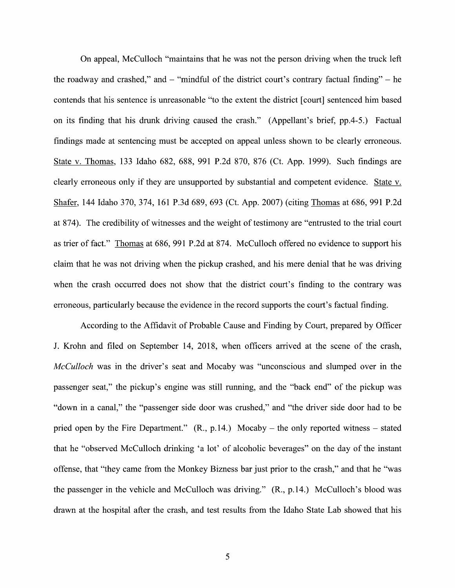On appeal, McCulloch "maintains that he was not the person driving when the truck left the roadway and crashed," and  $-$  "mindful of the district court's contrary factual finding"  $-$  he contends that his sentence is unreasonable "t0 the extent the district [court] sentenced him based on its finding that his drunk driving caused the crash." (Appellant's brief, pp.4-5.) Factual findings made at sentencing must be accepted 0n appeal unless shown t0 be clearly erroneous. State V. Thomas, 133 Idaho 682, 688, 991 P.2d 870, 876 (Ct. App. 1999). Such findings are clearly erroneous only if they are unsupported by substantial and competent evidence. State v. Shafer, 144 Idaho 370, 374, 161 P.3d 689, 693 (Ct. App. 2007) (citing Thomas at 686, 991 P.2d at 874). The credibility 0f Witnesses and the weight of testimony are "entrusted to the trial court as trier of fact." Thomas at 686, 991 P.2d at 874. McCulloch offered no evidence to support his claim that he was not driving When the pickup crashed, and his mere denial that he was driving when the crash occurred does not show that the district court's finding to the contrary was erroneous, particularly because the evidence in the record supports the court's factual finding.

According t0 the Affidavit of Probable Cause and Finding by Court, prepared by Officer J. Krohn and filed 0n September 14, 2018, When officers arrived at the scene of the crash, McCulloch was in the driver's seat and Mocaby was "unconscious and slumped over in the passenger seat," the pickup's engine was still running, and the "back end" 0f the pickup was "down in a canal," the "passenger side door was crushed," and "the driver side door had to be pried open by the Fire Department."  $(R., p.14.)$  Mocaby – the only reported witness – stated that he "observed McCulloch drinking 'a lot' 0f alcoholic beverages" 0n the day of the instant offense, that "they came from the Monkey Bizness bar just prior t0 the crash," and that he "was the passenger in the vehicle and McCulloch was driving." (R., p.14.) McCulloch's blood was drawn at the hospital after the crash, and test results from the Idaho State Lab showed that his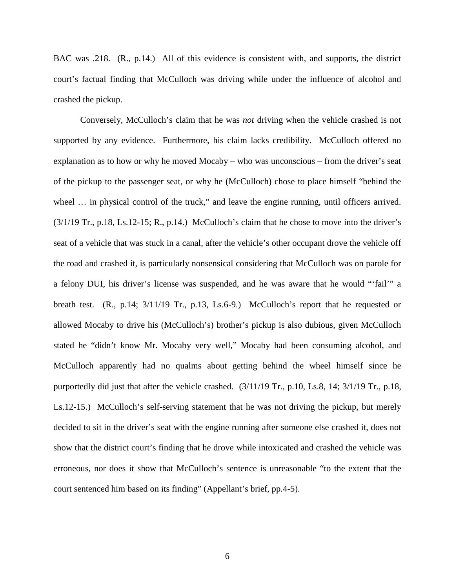BAC was .218. (R., p.14.) All of this evidence is consistent with, and supports, the district court's factual finding that McCulloch was driving while under the influence of alcohol and crashed the pickup.

Conversely, McCulloch's claim that he was *not* driving when the vehicle crashed is not supported by any evidence. Furthermore, his claim lacks credibility. McCulloch offered no explanation as to how or why he moved Mocaby – who was unconscious – from the driver's seat of the pickup to the passenger seat, or why he (McCulloch) chose to place himself "behind the wheel ... in physical control of the truck," and leave the engine running, until officers arrived.  $(3/1/19$  Tr., p.18, Ls.12-15; R., p.14.) McCulloch's claim that he chose to move into the driver's seat of a vehicle that was stuck in a canal, after the vehicle's other occupant drove the vehicle off the road and crashed it, is particularly nonsensical considering that McCulloch was on parole for a felony DUI, his driver's license was suspended, and he was aware that he would "'fail'" a breath test. (R., p.14; 3/11/19 Tr., p.13, Ls.6-9.) McCulloch's report that he requested or allowed Mocaby to drive his (McCulloch's) brother's pickup is also dubious, given McCulloch stated he "didn't know Mr. Mocaby very well," Mocaby had been consuming alcohol, and McCulloch apparently had no qualms about getting behind the wheel himself since he purportedly did just that after the vehicle crashed. (3/11/19 Tr., p.10, Ls.8, 14; 3/1/19 Tr., p.18, Ls.12-15.) McCulloch's self-serving statement that he was not driving the pickup, but merely decided to sit in the driver's seat with the engine running after someone else crashed it, does not show that the district court's finding that he drove while intoxicated and crashed the vehicle was erroneous, nor does it show that McCulloch's sentence is unreasonable "to the extent that the court sentenced him based on its finding" (Appellant's brief, pp.4-5).